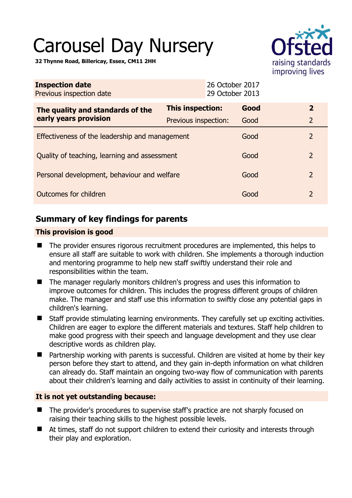# Carousel Day Nursery

**32 Thynne Road, Billericay, Essex, CM11 2HH** 



| <b>Inspection date</b><br>Previous inspection date |                      | 26 October 2017<br>29 October 2013 |                |  |
|----------------------------------------------------|----------------------|------------------------------------|----------------|--|
| The quality and standards of the                   | This inspection:     | Good                               | $\overline{2}$ |  |
| early years provision                              | Previous inspection: | Good                               | $\overline{2}$ |  |
| Effectiveness of the leadership and management     |                      |                                    | $\overline{2}$ |  |
| Quality of teaching, learning and assessment       |                      | Good                               | 2              |  |
| Personal development, behaviour and welfare        |                      | Good                               | 2              |  |
| Outcomes for children                              |                      |                                    | 2              |  |

# **Summary of key findings for parents**

## **This provision is good**

- The provider ensures rigorous recruitment procedures are implemented, this helps to ensure all staff are suitable to work with children. She implements a thorough induction and mentoring programme to help new staff swiftly understand their role and responsibilities within the team.
- The manager regularly monitors children's progress and uses this information to improve outcomes for children. This includes the progress different groups of children make. The manager and staff use this information to swiftly close any potential gaps in children's learning.
- Staff provide stimulating learning environments. They carefully set up exciting activities. Children are eager to explore the different materials and textures. Staff help children to make good progress with their speech and language development and they use clear descriptive words as children play.
- Partnership working with parents is successful. Children are visited at home by their key person before they start to attend, and they gain in-depth information on what children can already do. Staff maintain an ongoing two-way flow of communication with parents about their children's learning and daily activities to assist in continuity of their learning.

## **It is not yet outstanding because:**

- The provider's procedures to supervise staff's practice are not sharply focused on raising their teaching skills to the highest possible levels.
- At times, staff do not support children to extend their curiosity and interests through their play and exploration.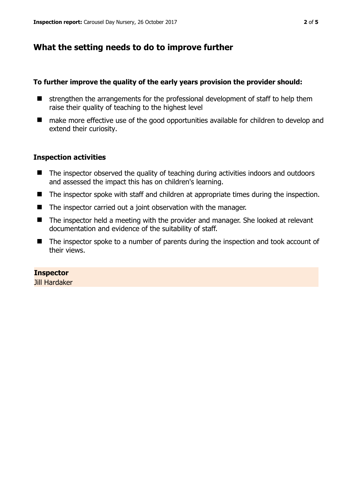# **What the setting needs to do to improve further**

## **To further improve the quality of the early years provision the provider should:**

- $\blacksquare$  strengthen the arrangements for the professional development of staff to help them raise their quality of teaching to the highest level
- make more effective use of the good opportunities available for children to develop and extend their curiosity.

## **Inspection activities**

- The inspector observed the quality of teaching during activities indoors and outdoors and assessed the impact this has on children's learning.
- The inspector spoke with staff and children at appropriate times during the inspection.
- The inspector carried out a joint observation with the manager.
- The inspector held a meeting with the provider and manager. She looked at relevant documentation and evidence of the suitability of staff.
- The inspector spoke to a number of parents during the inspection and took account of their views.

## **Inspector**

Jill Hardaker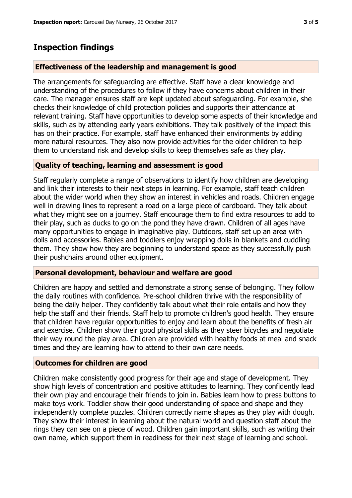## **Inspection findings**

#### **Effectiveness of the leadership and management is good**

The arrangements for safeguarding are effective. Staff have a clear knowledge and understanding of the procedures to follow if they have concerns about children in their care. The manager ensures staff are kept updated about safeguarding. For example, she checks their knowledge of child protection policies and supports their attendance at relevant training. Staff have opportunities to develop some aspects of their knowledge and skills, such as by attending early years exhibitions. They talk positively of the impact this has on their practice. For example, staff have enhanced their environments by adding more natural resources. They also now provide activities for the older children to help them to understand risk and develop skills to keep themselves safe as they play.

#### **Quality of teaching, learning and assessment is good**

Staff regularly complete a range of observations to identify how children are developing and link their interests to their next steps in learning. For example, staff teach children about the wider world when they show an interest in vehicles and roads. Children engage well in drawing lines to represent a road on a large piece of cardboard. They talk about what they might see on a journey. Staff encourage them to find extra resources to add to their play, such as ducks to go on the pond they have drawn. Children of all ages have many opportunities to engage in imaginative play. Outdoors, staff set up an area with dolls and accessories. Babies and toddlers enjoy wrapping dolls in blankets and cuddling them. They show how they are beginning to understand space as they successfully push their pushchairs around other equipment.

#### **Personal development, behaviour and welfare are good**

Children are happy and settled and demonstrate a strong sense of belonging. They follow the daily routines with confidence. Pre-school children thrive with the responsibility of being the daily helper. They confidently talk about what their role entails and how they help the staff and their friends. Staff help to promote children's good health. They ensure that children have regular opportunities to enjoy and learn about the benefits of fresh air and exercise. Children show their good physical skills as they steer bicycles and negotiate their way round the play area. Children are provided with healthy foods at meal and snack times and they are learning how to attend to their own care needs.

#### **Outcomes for children are good**

Children make consistently good progress for their age and stage of development. They show high levels of concentration and positive attitudes to learning. They confidently lead their own play and encourage their friends to join in. Babies learn how to press buttons to make toys work. Toddler show their good understanding of space and shape and they independently complete puzzles. Children correctly name shapes as they play with dough. They show their interest in learning about the natural world and question staff about the rings they can see on a piece of wood. Children gain important skills, such as writing their own name, which support them in readiness for their next stage of learning and school.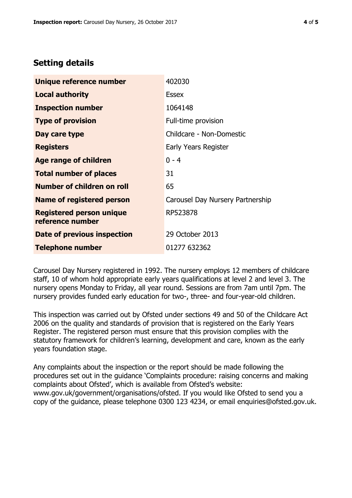# **Setting details**

| Unique reference number                             | 402030                           |  |
|-----------------------------------------------------|----------------------------------|--|
| <b>Local authority</b>                              | <b>Essex</b>                     |  |
| <b>Inspection number</b>                            | 1064148                          |  |
| <b>Type of provision</b>                            | Full-time provision              |  |
| Day care type                                       | Childcare - Non-Domestic         |  |
| <b>Registers</b>                                    | Early Years Register             |  |
| <b>Age range of children</b>                        | $0 - 4$                          |  |
| <b>Total number of places</b>                       | 31                               |  |
| <b>Number of children on roll</b>                   | 65                               |  |
| Name of registered person                           | Carousel Day Nursery Partnership |  |
| <b>Registered person unique</b><br>reference number | RP523878                         |  |
| Date of previous inspection                         | 29 October 2013                  |  |
| <b>Telephone number</b>                             | 01277 632362                     |  |

Carousel Day Nursery registered in 1992. The nursery employs 12 members of childcare staff, 10 of whom hold appropriate early years qualifications at level 2 and level 3. The nursery opens Monday to Friday, all year round. Sessions are from 7am until 7pm. The nursery provides funded early education for two-, three- and four-year-old children.

This inspection was carried out by Ofsted under sections 49 and 50 of the Childcare Act 2006 on the quality and standards of provision that is registered on the Early Years Register. The registered person must ensure that this provision complies with the statutory framework for children's learning, development and care, known as the early years foundation stage.

Any complaints about the inspection or the report should be made following the procedures set out in the guidance 'Complaints procedure: raising concerns and making complaints about Ofsted', which is available from Ofsted's website: www.gov.uk/government/organisations/ofsted. If you would like Ofsted to send you a copy of the guidance, please telephone 0300 123 4234, or email enquiries@ofsted.gov.uk.